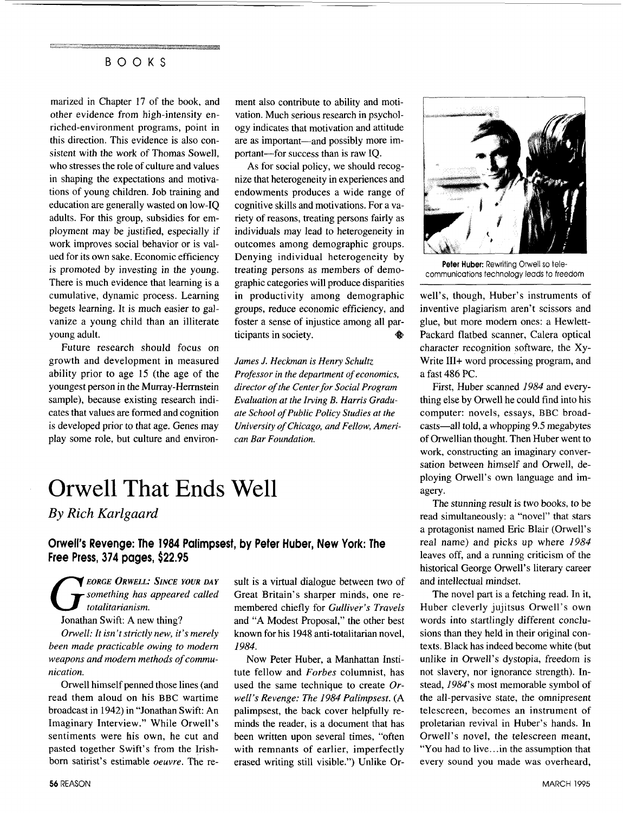marized in Chapter **17** of the book, and other evidence from high-intensity enriched-environment programs, point in this direction. This evidence is also consistent with the work of Thomas Sowell, who stresses the role of culture and values in shaping the expectations and motivations of young children. Job training and education are generally wasted on low-IQ adults. For this group, subsidies for employment may be justified, especially if work improves social behavior or is valued for its own sake. Economic efficiency is promoted by investing in the young. There is much evidence that learning is a cumulative, dynamic process. Learning begets learning. It is much easier to galvanize a young child than an illiterate young adult.

Future research should focus on growth and development in measured ability prior to age 15 (the age of the youngest person in the Murray-Hemstein sample), because existing research indicates that values are formed and cognition is developed prior to that age. Genes may play some role, but culture and environment also contribute to ability and motivation. Much serious research in psychology indicates that motivation and attitude are as important—and possibly more important-for success than is raw IQ.

As for social policy, we should recognize that heterogeneity in experiences and endowments produces a wide range of cognitive skills and motivations. For a variety of reasons, treating persons fairly as individuals may lead to heterogeneity in outcomes among demographic groups. Denying individual heterogeneity by treating persons as members of demographic categories will produce disparities in productivity among demographic groups, reduce economic efficiency, and foster a sense of injustice among all participants in society. ♠

*James J. Heckman is Henry Schultz Professor in the department of economics, director of the Center for Social Program Evaluation at the Irving B. Harris Graduate School of Public Policy Studies at the University of Chicago, and Fellow, American Bar Foundation.* 

## Orwell That Ends Well

*By Rich Karlgaard* 

#### **Orwell's Revenge: The** *1984* **Palimpsest, by Peter Huber, New York: The Free Press, 374 pages,** *\$22.95*

*EORGE ORWELL: SINCE YOUR DAY G something has appeared called totalitarianism.*  Jonathan Swift: A new thing?

*Orwell: It isn't strictly new, it's merely been made practicable owing to modern weapons and modern methods of communication.* 

Orwell himself penned those lines (and read them aloud on his BBC wartime broadcast in 1942) in "Jonathan Swift: An Imaginary Interview." While Orwell's sentiments were his own, he cut and pasted together Swift's from the Irishborn satirist's estimable *oeuvre.* The result is a virtual dialogue between two of Great Britain's sharper minds, one remembered chiefly for *Gulliver's Travels*  and "A Modest Proposal," the other best known for his 1948 anti-totalitarian novel, *1984.* 

Now Peter Huber, a Manhattan Institute fellow and *Forbes* columnist, has used the same technique to create *Or* $well's$  Revenge: The 1984 Palimpsest. (A palimpsest, the back cover helpfully reminds the reader, is a document that has been written upon several times, "often with remnants of earlier, imperfectly erased writing still visible.") Unlike Or-



**Peter Huber:** Rewriting Orwell so telecommunications technology leads to freedom

well's, though, Huber's instruments of inventive plagiarism aren't scissors and glue, but more modem ones: **a** Hewlett-Packard flatbed scanner, Calera optical character recognition software, the Xy-Write III+ word processing program, and a fast 486 PC.

First, Huber scanned *1984* and everything else by Orwell he could find into his computer: novels, essays, BBC broadcasts-all told, a whopping 9.5 megabytes of Orwellian thought. Then Huber went to work, constructing an imaginary conversation between himself and Orwell, deploying Orwell's own language and imagery.

The stunning result is two books, to be read simultaneously: a "novel" that stars a protagonist named Eric Blair (Orwell's real name) and picks up where *1984*  leaves off, and a running criticism of the historical George Orwell's literary career and intellectual mindset.

The novel part is a fetching read. In it, Huber cleverly jujitsus Orwell's own words into startlingly different conclusions than they held in their original contexts. Black has indeed become white (but unlike in Orwell's dystopia, freedom is not slavery, nor ignorance strength). Instead, *1984's* most memorable symbol of the all-pervasive state, the omnipresent telescreen, becomes an instrument of proletarian revival in Huber's hands. In Orwell's novel, the telescreen meant, "You had to live.. .in the assumption that every sound you made was overheard,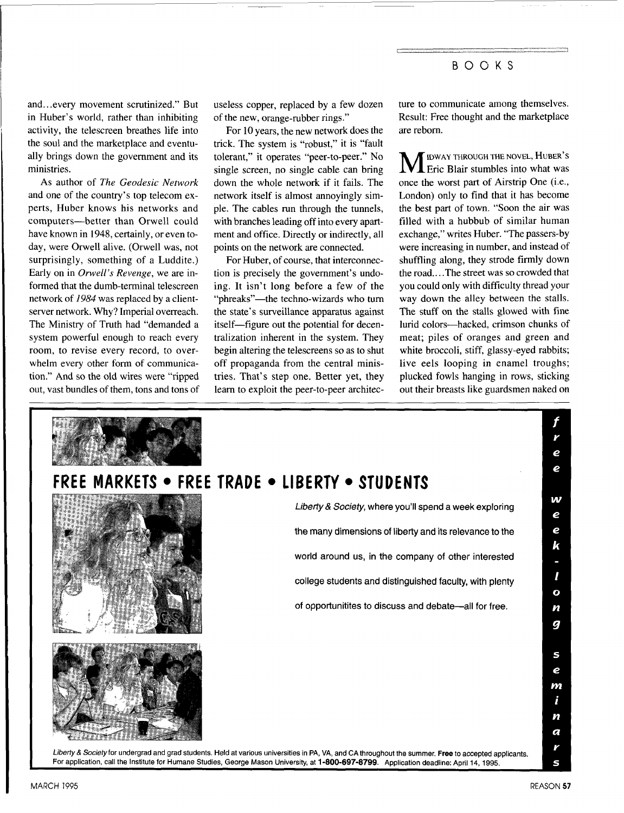and.. .every movement scrutinized." But in Huber's world, rather than inhibiting activity, the telescreen breathes life into the soul and the marketplace and eventually brings down the government and its ministries.

AS author of *The Geodesic Network*  and one of the country's top telecom experts, Huber knows his networks and computers-better than Orwell could have known in 1948, certainly, or even today, were Orwell alive. (Orwell was, not surprisingly, something of a Luddite.) Early on in *Onvell's Revenge,* we are informed that the dumb-terminal telescreen network of *1984* was replaced by a clientserver network. Why? Imperial overreach. The Ministry of Truth had "demanded a system powerful enough to reach every room, to revise every record, to overwhelm every other form of communication." And so the old wires were "ripped out, vast bundles of them, tons and tons of useless copper, replaced by a few dozen of the new, orange-rubber rings."

For 10 years, the new network does the trick. The system is "robust," it is "fault tolerant," it operates "peer-to-peer." No single screen, no single cable can bring down the whole network if it fails. The network itself is almost annoyingly simple. The cables run through the tunnels, with branches leading off into every apartment and office. Directly or indirectly, all points on the network are connected.

For Huber, of course, that interconnection is precisely the government's undoing. It isn't long before a few of the "phreaks"—the techno-wizards who turn the state's surveillance apparatus against itself-figure out the potential for decentralization inherent in the system. They begin altering the telescreens so as to shut off propaganda from the central ministries. That's step one. Better yet, they learn to exploit the peer-to-peer architecture to communicate among themselves. Result: Free thought and the marketplace are reborn.

**M** IDWAY THROUGH THE NOVEL, HUBER'S ETC: Blair stumbles into what was once the worst part of Airstrip One (i.e., London) only to find that it has become the best part of town. "Soon the air was filled with a hubbub of similar human exchange," writes Huber. "The passers-by were increasing in number, and instead of shuffling along, they strode firmly down the road.. . .The street was so crowded that you could only with difficulty thread your way down the alley between the stalls. The stuff on the stalls glowed with fine lurid colors-hacked, crimson chunks of meat; piles of oranges and green and white broccoli, stiff, glassy-eyed rabbits; live eels looping in enamel troughs; plucked fowls hanging in rows, sticking out their breasts like guardsmen naked on

|                                                                                                                                                                                                                                                                                                    | e                 |
|----------------------------------------------------------------------------------------------------------------------------------------------------------------------------------------------------------------------------------------------------------------------------------------------------|-------------------|
| FREE MARKETS . FREE TRADE . LIBERTY . STUDENTS                                                                                                                                                                                                                                                     | e                 |
| Liberty & Society, where you'll spend a week exploring                                                                                                                                                                                                                                             | w<br>e            |
| the many dimensions of liberty and its relevance to the                                                                                                                                                                                                                                            | e<br>k            |
| world around us, in the company of other interested                                                                                                                                                                                                                                                |                   |
| college students and distinguished faculty, with plenty                                                                                                                                                                                                                                            | l<br>$\mathbf{o}$ |
| of opportunitites to discuss and debate-all for free.                                                                                                                                                                                                                                              | n<br>g            |
|                                                                                                                                                                                                                                                                                                    |                   |
|                                                                                                                                                                                                                                                                                                    | S<br>e            |
|                                                                                                                                                                                                                                                                                                    | m<br>i            |
|                                                                                                                                                                                                                                                                                                    | n                 |
|                                                                                                                                                                                                                                                                                                    | a                 |
| Liberty & Society for undergrad and grad students. Held at various universities in PA, VA, and CA throughout the summer. Free to accepted applicants.<br>For application, call the Institute for Humane Studies, George Mason University, at 1-800-697-8799. Application deadline: April 14, 1995. | V                 |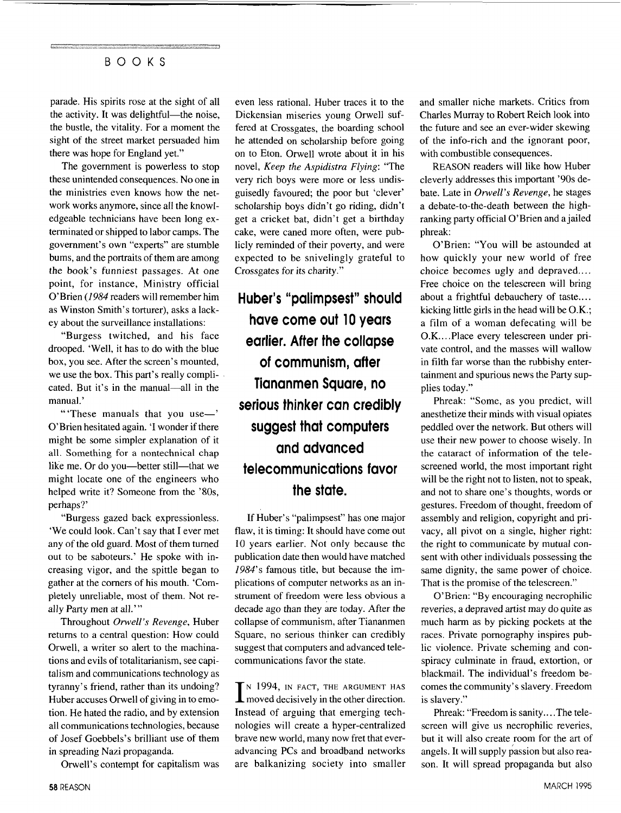parade. His spirits rose at the sight of all the activity. It was delightful—the noise, the bustle, the vitality. For a moment the sight of the street market persuaded him there was hope for England yet."

The government is powerless to stop these unintended consequences. No one in the ministries even knows how the network works anymore, since all the knowledgeable technicians have been long exterminated or shipped to labor camps. The government's own "experts" are stumble bums, and the portraits of them are among the book's funniest passages. At one point, for instance, Ministry official O'Brien *(1984* readers will remember him as Winston Smith's torturer), asks a lackey about the surveillance installations:

"Burgess twitched, and his face drooped. 'Well, it has to do with the blue box, you see. After the screen's mounted, we use the box. This part's really complicated. But it's in the manual-all in the manual.'

"These manuals that you use-' O'Brien hesitated again. 'I wonder if there might be some simpler explanation of it all. Something for a nontechnical chap like me. Or do you—better still—that we might locate one of the engineers who helped write it? Someone from the '80s, perhaps?'

"Burgess gazed back expressionless. 'We could look. Can't say that I ever met any of the old guard. Most of them turned out to be saboteurs.' He spoke with increasing vigor, and the spittle began to gather at the corners of his mouth. 'Completely unreliable, most of them. Not really Party men at all."'

Throughout *Orwell's Revenge,* Huber returns to a central question: How could Orwell, a writer so alert to the machinations and evils of totalitarianism, see capitalism and communications technology as tyranny's friend, rather than its undoing? Huber accuses Orwell of giving in to emotion. He hated the radio, and by extension all communications technologies, because of Josef Goebbels's brilliant use of them in spreading Nazi propaganda.

Orwell's contempt for capitalism was

even less rational. Huber traces it to the Dickensian miseries young Orwell suffered at Crossgates, the boarding school he attended on scholarship before going on to Eton. Orwell wrote about it in his novel, *Keep the Aspidistra Flying:* "The very rich boys were more or less undisguisedly favoured; the poor but 'clever' scholarship boys didn't go riding, didn't get a cricket bat, didn't get a birthday cake, were caned more often, were publicly reminded of their poverty, and were expected to be snivelingly grateful to Crossgates for its charity."

**Huber's "palimpsest" should have come out 10 years earlier. After the collapse of communism, after Tiananmen Square, no serious thinker can credibly suggest that computers and advanced telecommunications favor the state.** 

If Huber's "palimpsest" has one major flaw, it is timing: It should have come out 10 years earlier. Not only because the publication date then would have matched *1984's* famous title, but because the implications of computer networks as an instrument of freedom were less obvious a decade ago than they are today. After the collapse of communism, after Tiananmen Square, no serious thinker can credibly suggest that computers and advanced telecommunications favor the state.

I<sup>N</sup> 1994, IN FACT, THE ARGUMENT HAS moved decisively in the other direction. Instead of arguing that emerging technologies will create a hyper-centralized brave new world, many now fret that everadvancing PCs and broadband networks are balkanizing society into smaller

and smaller niche markets. Critics from Charles Murray to Robert Reich look into the future and see an ever-wider skewing of the info-rich and the ignorant poor, with combustible consequences.

REASON readers will like how Huber cleverly addresses this important '90s debate. Late in *Orwell's Revenge,* he stages a debate-to-the-death between the highranking party official O'Brien and a jailed phreak:

O'Brien: "You will be astounded at how quickly your new world of free choice becomes ugly and depraved.... Free choice on the telescreen will bring about a frightful debauchery of taste.... kicking little girls in the head will be O.K.; a film of a woman defecating will be O.K.. . .Place every telescreen under private control, and the masses will wallow in filth far worse than the rubbishy entertainment and spurious news the Party supplies today."

Phreak: "Some, as you predict, will anesthetize their minds with visual opiates peddled over the network. But others will use their new power to choose wisely. In the cataract of information of the telescreened world, the most important right will be the right not to listen, not to speak, and not to share one's thoughts, words or gestures. Freedom of thought, freedom of assembly and religion, copyright and privacy, all pivot on a single, higher right: the right to communicate by mutual consent with other individuals possessing the same dignity, the same power of choice. That is the promise of the telescreen."

O'Brien: "By encouraging necrophilic reveries, a depraved artist may do quite as much harm as by picking pockets at the races. Private pornography inspires public violence. Private scheming and conspiracy culminate in fraud, extortion, or blackmail. The individual's freedom becomes the community's slavery. Freedom is slavery."

Phreak: "Freedom is sanity....The telescreen will give us necrophilic reveries, but it will also create room for the art of angels. It will supply passion but also reason. It will spread propaganda but also